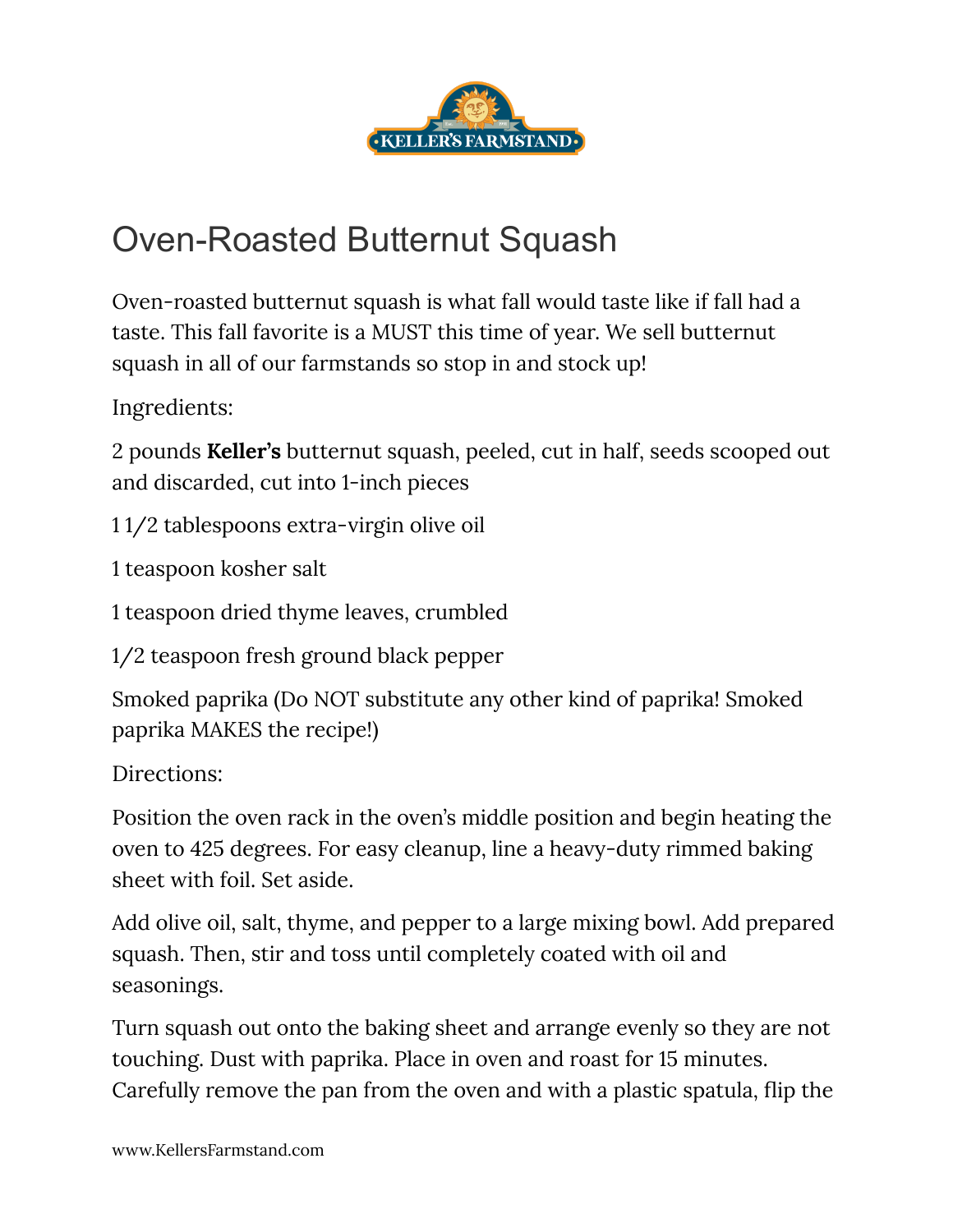

## Oven-Roasted Butternut Squash

Oven-roasted butternut squash is what fall would taste like if fall had a taste. This fall favorite is a MUST this time of year. We sell butternut squash in all of our farmstands so stop in and stock up!

Ingredients:

2 pounds **Keller's** butternut squash, peeled, cut in half, seeds scooped out and discarded, cut into 1-inch pieces

1 1/2 tablespoons extra-virgin olive oil

1 teaspoon kosher salt

1 teaspoon dried thyme leaves, crumbled

1/2 teaspoon fresh ground black pepper

Smoked paprika (Do NOT substitute any other kind of paprika! Smoked paprika MAKES the recipe!)

Directions:

Position the oven rack in the oven's middle position and begin heating the oven to 425 degrees. For easy cleanup, line a heavy-duty rimmed baking sheet with foil. Set aside.

Add olive oil, salt, thyme, and pepper to a large mixing bowl. Add prepared squash. Then, stir and toss until completely coated with oil and seasonings.

Turn squash out onto the baking sheet and arrange evenly so they are not touching. Dust with paprika. Place in oven and roast for 15 minutes. Carefully remove the pan from the oven and with a plastic spatula, flip the